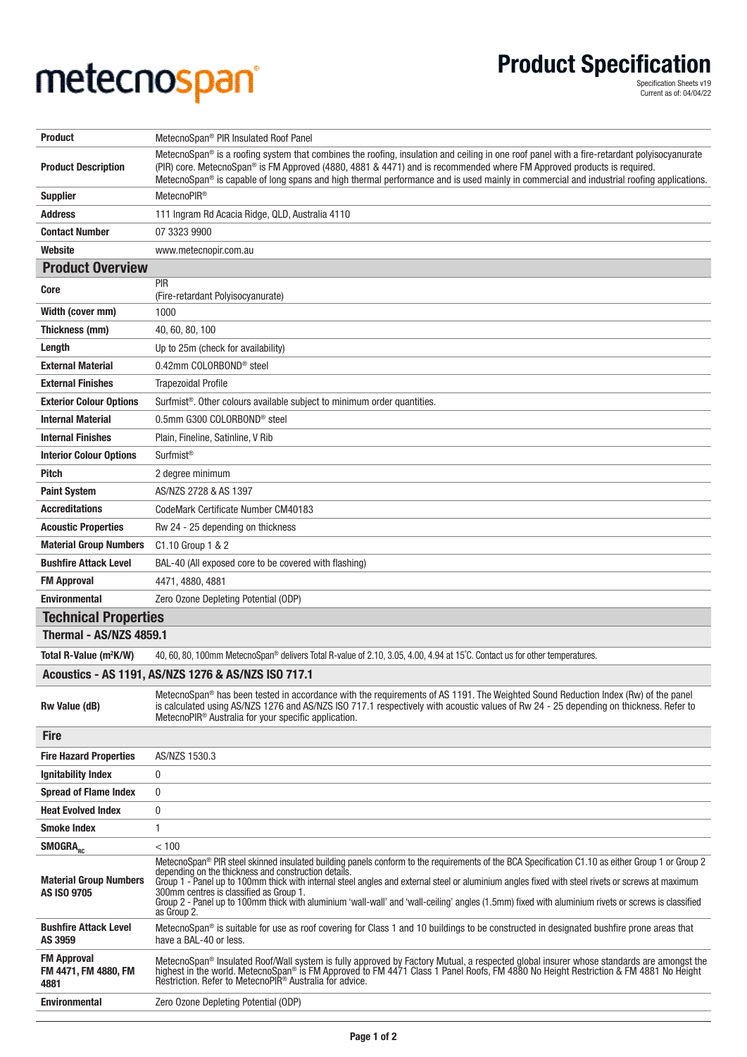## metecnospan®

Product Specification

Specification Sheets v19 Current as of: 04/04/22

| <b>Product</b>                                      | MetecnoSpan <sup>®</sup> PIR Insulated Roof Panel                                                                                                                                                                                                                                                                                                                                                                        |
|-----------------------------------------------------|--------------------------------------------------------------------------------------------------------------------------------------------------------------------------------------------------------------------------------------------------------------------------------------------------------------------------------------------------------------------------------------------------------------------------|
| <b>Product Description</b>                          | MetecnoSpan® is a roofing system that combines the roofing, insulation and ceiling in one roof panel with a fire-retardant polyisocyanurate<br>(PIR) core. MetecnoSpan® is FM Approved (4880, 4881 & 4471) and is recommended where FM Approved products is required.<br>MetecnoSpan® is capable of long spans and high thermal performance and is used mainly in commercial and industrial roofing applications.        |
| <b>Supplier</b>                                     | MetecnoPIR <sup>®</sup>                                                                                                                                                                                                                                                                                                                                                                                                  |
| <b>Address</b>                                      | 111 Ingram Rd Acacia Ridge, QLD, Australia 4110                                                                                                                                                                                                                                                                                                                                                                          |
| <b>Contact Number</b>                               | 07 3323 9900                                                                                                                                                                                                                                                                                                                                                                                                             |
| Website                                             | www.metecnopir.com.au                                                                                                                                                                                                                                                                                                                                                                                                    |
| <b>Product Overview</b>                             |                                                                                                                                                                                                                                                                                                                                                                                                                          |
| <b>Core</b>                                         | PIR                                                                                                                                                                                                                                                                                                                                                                                                                      |
| Width (cover mm)                                    | (Fire-retardant Polyisocyanurate)<br>1000                                                                                                                                                                                                                                                                                                                                                                                |
| Thickness (mm)                                      | 40, 60, 80, 100                                                                                                                                                                                                                                                                                                                                                                                                          |
| Length                                              | Up to 25m (check for availability)                                                                                                                                                                                                                                                                                                                                                                                       |
| <b>External Material</b>                            | 0.42mm COLORBOND <sup>®</sup> steel                                                                                                                                                                                                                                                                                                                                                                                      |
| <b>External Finishes</b>                            | <b>Trapezoidal Profile</b>                                                                                                                                                                                                                                                                                                                                                                                               |
| <b>Exterior Colour Options</b>                      | Surfmist <sup>®</sup> . Other colours available subject to minimum order quantities.                                                                                                                                                                                                                                                                                                                                     |
| <b>Internal Material</b>                            | 0.5mm G300 COLORBOND <sup>®</sup> steel                                                                                                                                                                                                                                                                                                                                                                                  |
| <b>Internal Finishes</b>                            | Plain, Fineline, Satinline, V Rib                                                                                                                                                                                                                                                                                                                                                                                        |
| <b>Interior Colour Options</b>                      | Surfmist <sup>®</sup>                                                                                                                                                                                                                                                                                                                                                                                                    |
|                                                     |                                                                                                                                                                                                                                                                                                                                                                                                                          |
| <b>Pitch</b>                                        | 2 degree minimum                                                                                                                                                                                                                                                                                                                                                                                                         |
| <b>Paint System</b>                                 | AS/NZS 2728 & AS 1397                                                                                                                                                                                                                                                                                                                                                                                                    |
| <b>Accreditations</b>                               | CodeMark Certificate Number CM40183                                                                                                                                                                                                                                                                                                                                                                                      |
| <b>Acoustic Properties</b>                          | Rw 24 - 25 depending on thickness                                                                                                                                                                                                                                                                                                                                                                                        |
| <b>Material Group Numbers</b>                       | C1.10 Group 1 & 2                                                                                                                                                                                                                                                                                                                                                                                                        |
| <b>Bushfire Attack Level</b>                        | BAL-40 (All exposed core to be covered with flashing)                                                                                                                                                                                                                                                                                                                                                                    |
|                                                     |                                                                                                                                                                                                                                                                                                                                                                                                                          |
| <b>FM Approval</b>                                  | 4471, 4880, 4881                                                                                                                                                                                                                                                                                                                                                                                                         |
| <b>Environmental</b>                                | Zero Ozone Depleting Potential (ODP)                                                                                                                                                                                                                                                                                                                                                                                     |
| <b>Technical Properties</b>                         |                                                                                                                                                                                                                                                                                                                                                                                                                          |
| Thermal - AS/NZS 4859.1                             |                                                                                                                                                                                                                                                                                                                                                                                                                          |
| Total R-Value (m <sup>2</sup> K/W)                  | 40, 60, 80, 100mm MetecnoSpan® delivers Total R-value of 2.10, 3.05, 4.00, 4.94 at 15°C. Contact us for other temperatures.                                                                                                                                                                                                                                                                                              |
|                                                     | Acoustics - AS 1191, AS/NZS 1276 & AS/NZS ISO 717.1                                                                                                                                                                                                                                                                                                                                                                      |
| <b>Rw Value (dB)</b>                                | MetecnoSpan <sup>®</sup> has been tested in accordance with the requirements of AS 1191. The Weighted Sound Reduction Index (Rw) of the panel<br>is calculated using AS/NZS 1276 and AS/NZS ISO 717.1 respectively with acoustic values of Rw 24 - 25 depending on thickness. Refer to<br>MetecnoPIR <sup>®</sup> Australia for your specific application.                                                               |
| <b>Fire</b>                                         |                                                                                                                                                                                                                                                                                                                                                                                                                          |
| <b>Fire Hazard Properties</b>                       | AS/NZS 1530.3                                                                                                                                                                                                                                                                                                                                                                                                            |
| <b>Ignitability Index</b>                           | 0                                                                                                                                                                                                                                                                                                                                                                                                                        |
| <b>Spread of Flame Index</b>                        | $\mathbf 0$                                                                                                                                                                                                                                                                                                                                                                                                              |
| <b>Heat Evolved Index</b>                           | 0                                                                                                                                                                                                                                                                                                                                                                                                                        |
| <b>Smoke Index</b>                                  | 1                                                                                                                                                                                                                                                                                                                                                                                                                        |
|                                                     | < 100                                                                                                                                                                                                                                                                                                                                                                                                                    |
| SMOGRA <sub>RC</sub>                                | MetecnoSpan® PIR steel skinned insulated building panels conform to the requirements of the BCA Specification C1.10 as either Group 1 or Group 2                                                                                                                                                                                                                                                                         |
| <b>Material Group Numbers</b><br><b>AS ISO 9705</b> | depending on the thickness and construction details.<br>Group 1 - Panel up to 100mm thick with internal steel angles and external steel or aluminium angles fixed with steel rivets or screws at maximum<br>300mm centres is classified as Group 1.<br>Group 2 - Panel up to 100mm thick with aluminium 'wall-wall' and 'wall-ceiling' angles (1.5mm) fixed with aluminium rivets or screws is classified<br>as Group 2. |
| <b>Bushfire Attack Level</b><br>AS 3959             | MetecnoSpan® is suitable for use as roof covering for Class 1 and 10 buildings to be constructed in designated bushfire prone areas that<br>have a BAL-40 or less.                                                                                                                                                                                                                                                       |
| <b>FM Approval</b><br>FM 4471, FM 4880, FM<br>4881  | MetecnoSpan® Insulated Roof/Wall system is fully approved by Factory Mutual, a respected global insurer whose standards are amongst the<br>highest in the world. MetecnoSpan® is FM Approved to FM 4471 Class 1 Panel Roofs, FM 4880 No Height Restriction & FM 4881 No Height<br>Restriction. Refer to MetecnoPIR <sup>®</sup> Australia for advice.                                                                    |